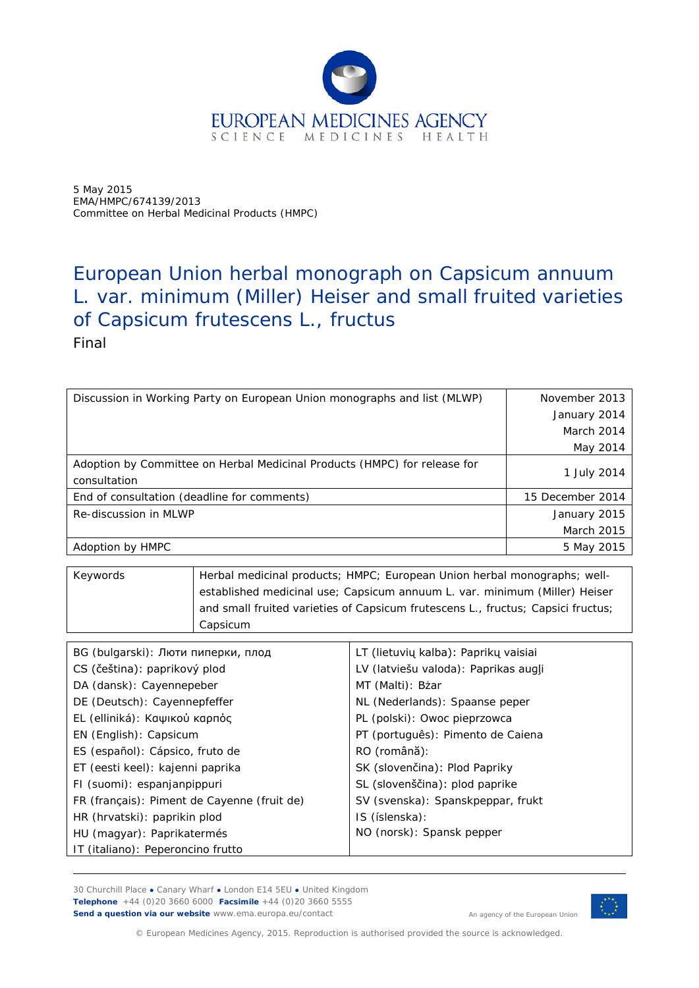

5 May 2015 EMA/HMPC/674139/2013 Committee on Herbal Medicinal Products (HMPC)

# European Union herbal monograph on *Capsicum annuum* L. var. *minimum* (Miller) Heiser and small fruited varieties of *Capsicum frutescens* L., fructus Final

| Discussion in Working Party on European Union monographs and list (MLWP)  | November 2013     |
|---------------------------------------------------------------------------|-------------------|
|                                                                           | January 2014      |
|                                                                           | March 2014        |
|                                                                           | May 2014          |
| Adoption by Committee on Herbal Medicinal Products (HMPC) for release for |                   |
| consultation                                                              | 1 July 2014       |
| End of consultation (deadline for comments)                               | 15 December 2014  |
| Re-discussion in MLWP                                                     | January 2015      |
|                                                                           | <b>March 2015</b> |
| Adoption by HMPC                                                          | 5 May 2015        |

| Keywords | Herbal medicinal products; HMPC; European Union herbal monographs; well-         |
|----------|----------------------------------------------------------------------------------|
|          | established medicinal use; Capsicum annuum L. var. minimum (Miller) Heiser       |
|          | and small fruited varieties of Capsicum frutescens L., fructus; Capsici fructus; |
|          | Capsicum                                                                         |

| BG (bulgarski): Люти пиперки, плод          | LT (lietuvių kalba): Paprikų vaisiai |
|---------------------------------------------|--------------------------------------|
| CS (čeština): paprikový plod                | LV (latviešu valoda): Paprikas augļi |
| DA (dansk): Cayennepeber                    | MT (Malti): Bżar                     |
| DE (Deutsch): Cayennepfeffer                | NL (Nederlands): Spaanse peper       |
| EL (elliniká): Καψικού καρπός               | PL (polski): Owoc pieprzowca         |
| EN (English): Capsicum                      | PT (português): Pimento de Caiena    |
| ES (español): Cápsico, fruto de             | RO (română):                         |
| ET (eesti keel): kajenni paprika            | SK (slovenčina): Plod Papriky        |
| FI (suomi): espanjanpippuri                 | SL (slovenščina): plod paprike       |
| FR (français): Piment de Cayenne (fruit de) | SV (svenska): Spanskpeppar, frukt    |
| HR (hrvatski): paprikin plod                | IS (íslenska):                       |
| HU (magyar): Paprikatermés                  | NO (norsk): Spansk pepper            |
| IT (italiano): Peperoncino frutto           |                                      |

30 Churchill Place **●** Canary Wharf **●** London E14 5EU **●** United Kingdom **Telephone** +44 (0)20 3660 6000 **Facsimile** +44 (0)20 3660 5555 **Send a question via our website** www.ema.europa.eu/contact



An agency of the European Union

© European Medicines Agency, 2015. Reproduction is authorised provided the source is acknowledged.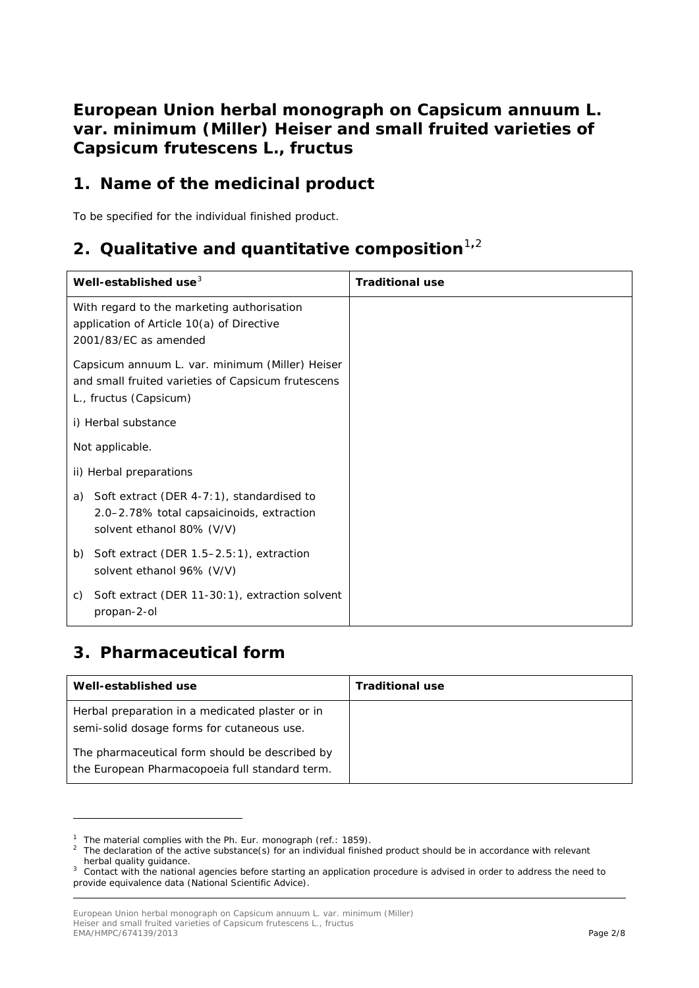**European Union herbal monograph on** *Capsicum annuum* **L. var.** *minimum* **(Miller) Heiser and small fruited varieties of**  *Capsicum frutescens* **L., fructus**

## **1. Name of the medicinal product**

To be specified for the individual finished product.

# **[2](#page-1-1). Qualitative and quantitative composition**<sup>[1](#page-1-0),2</sup>

| Well-established use <sup>3</sup>                                                                                               | <b>Traditional use</b> |
|---------------------------------------------------------------------------------------------------------------------------------|------------------------|
| With regard to the marketing authorisation<br>application of Article 10(a) of Directive<br>2001/83/EC as amended                |                        |
| Capsicum annuum L. var. minimum (Miller) Heiser<br>and small fruited varieties of Capsicum frutescens<br>L., fructus (Capsicum) |                        |
| i) Herbal substance                                                                                                             |                        |
| Not applicable.                                                                                                                 |                        |
| ii) Herbal preparations                                                                                                         |                        |
| Soft extract (DER 4-7:1), standardised to<br>a)<br>2.0–2.78% total capsaicinoids, extraction<br>solvent ethanol 80% (V/V)       |                        |
| Soft extract (DER 1.5-2.5:1), extraction<br>b)<br>solvent ethanol 96% (V/V)                                                     |                        |
| Soft extract (DER 11-30:1), extraction solvent<br>C)<br>propan-2-ol                                                             |                        |

## **3. Pharmaceutical form**

ł

| Well-established use                                                                             | <b>Traditional use</b> |
|--------------------------------------------------------------------------------------------------|------------------------|
| Herbal preparation in a medicated plaster or in<br>semi-solid dosage forms for cutaneous use.    |                        |
| The pharmaceutical form should be described by<br>the European Pharmacopoeia full standard term. |                        |

<span id="page-1-1"></span><span id="page-1-0"></span><sup>&</sup>lt;sup>1</sup> The material complies with the Ph. Eur. monograph (ref.: 1859).<br><sup>2</sup> The declaration of the active substance(s) for an individual finished product should be in accordance with relevant herbal quality guidance.

<span id="page-1-2"></span><sup>&</sup>lt;sup>3</sup> Contact with the national agencies before starting an application procedure is advised in order to address the need to provide equivalence data (National Scientific Advice).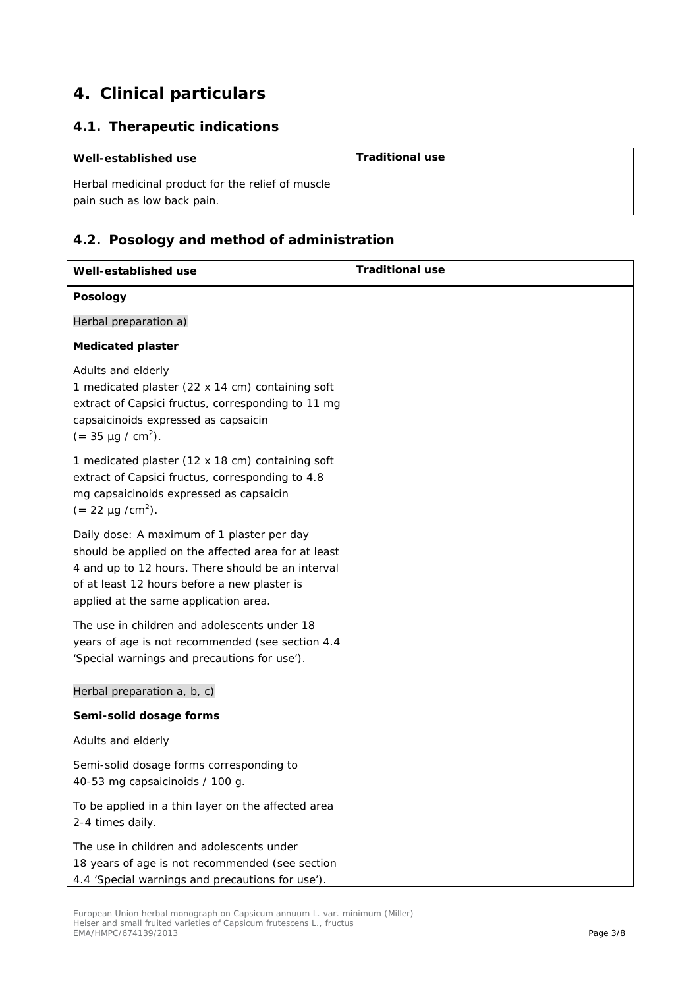# **4. Clinical particulars**

## *4.1. Therapeutic indications*

| Well-established use                                                             | <b>Traditional use</b> |
|----------------------------------------------------------------------------------|------------------------|
| Herbal medicinal product for the relief of muscle<br>pain such as low back pain. |                        |

### *4.2. Posology and method of administration*

| Well-established use                                                                                                                                                                                                                            | <b>Traditional use</b> |
|-------------------------------------------------------------------------------------------------------------------------------------------------------------------------------------------------------------------------------------------------|------------------------|
| Posology                                                                                                                                                                                                                                        |                        |
| Herbal preparation a)                                                                                                                                                                                                                           |                        |
| <b>Medicated plaster</b>                                                                                                                                                                                                                        |                        |
| Adults and elderly<br>1 medicated plaster (22 x 14 cm) containing soft<br>extract of Capsici fructus, corresponding to 11 mg<br>capsaicinoids expressed as capsaicin<br>$(= 35 \mu g / cm^2)$ .                                                 |                        |
| 1 medicated plaster (12 x 18 cm) containing soft<br>extract of Capsici fructus, corresponding to 4.8<br>mg capsaicinoids expressed as capsaicin<br>$(= 22 \mu g/cm^2)$ .                                                                        |                        |
| Daily dose: A maximum of 1 plaster per day<br>should be applied on the affected area for at least<br>4 and up to 12 hours. There should be an interval<br>of at least 12 hours before a new plaster is<br>applied at the same application area. |                        |
| The use in children and adolescents under 18<br>years of age is not recommended (see section 4.4<br>'Special warnings and precautions for use').                                                                                                |                        |
| Herbal preparation a, b, c)                                                                                                                                                                                                                     |                        |
| Semi-solid dosage forms                                                                                                                                                                                                                         |                        |
| Adults and elderly                                                                                                                                                                                                                              |                        |
| Semi-solid dosage forms corresponding to<br>40-53 mg capsaicinoids / 100 g.                                                                                                                                                                     |                        |
| To be applied in a thin layer on the affected area<br>2-4 times daily.                                                                                                                                                                          |                        |
| The use in children and adolescents under<br>18 years of age is not recommended (see section<br>4.4 'Special warnings and precautions for use').                                                                                                |                        |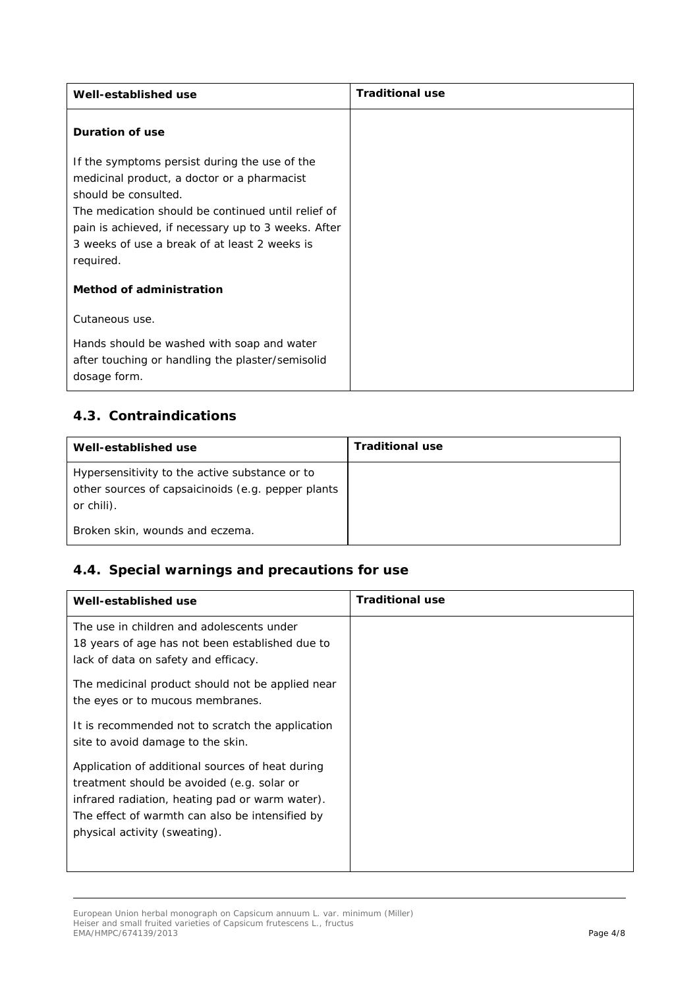| Well-established use                                                                                           | <b>Traditional use</b> |
|----------------------------------------------------------------------------------------------------------------|------------------------|
| <b>Duration of use</b>                                                                                         |                        |
| If the symptoms persist during the use of the                                                                  |                        |
| medicinal product, a doctor or a pharmacist                                                                    |                        |
| should be consulted.                                                                                           |                        |
| The medication should be continued until relief of                                                             |                        |
| pain is achieved, if necessary up to 3 weeks. After                                                            |                        |
| 3 weeks of use a break of at least 2 weeks is                                                                  |                        |
| required.                                                                                                      |                        |
| <b>Method of administration</b>                                                                                |                        |
| Cutaneous use.                                                                                                 |                        |
| Hands should be washed with soap and water<br>after touching or handling the plaster/semisolid<br>dosage form. |                        |

## *4.3. Contraindications*

| Well-established use                                                                                               | <b>Traditional use</b> |
|--------------------------------------------------------------------------------------------------------------------|------------------------|
| Hypersensitivity to the active substance or to<br>other sources of capsaicinoids (e.g. pepper plants<br>or chili). |                        |
| Broken skin, wounds and eczema.                                                                                    |                        |

## *4.4. Special warnings and precautions for use*

| Well-established use                                                                                                                                                                                                                  | <b>Traditional use</b> |
|---------------------------------------------------------------------------------------------------------------------------------------------------------------------------------------------------------------------------------------|------------------------|
| The use in children and adolescents under<br>18 years of age has not been established due to<br>lack of data on safety and efficacy.                                                                                                  |                        |
| The medicinal product should not be applied near<br>the eyes or to mucous membranes.                                                                                                                                                  |                        |
| It is recommended not to scratch the application<br>site to avoid damage to the skin.                                                                                                                                                 |                        |
| Application of additional sources of heat during<br>treatment should be avoided (e.g. solar or<br>infrared radiation, heating pad or warm water).<br>The effect of warmth can also be intensified by<br>physical activity (sweating). |                        |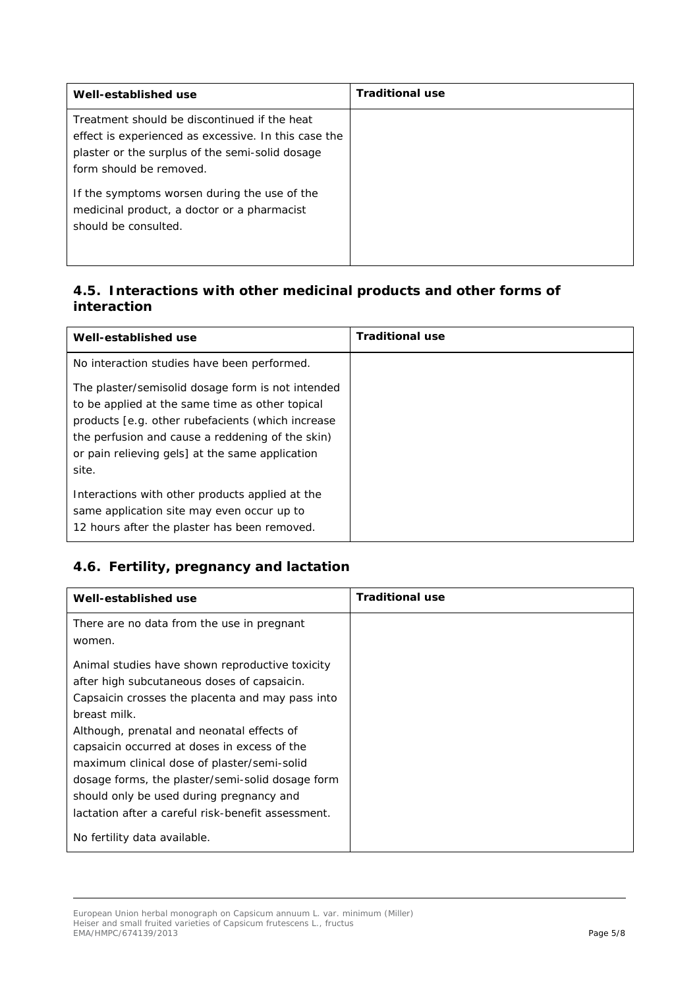| Well-established use                                                                                                                                                               | <b>Traditional use</b> |
|------------------------------------------------------------------------------------------------------------------------------------------------------------------------------------|------------------------|
| Treatment should be discontinued if the heat<br>effect is experienced as excessive. In this case the<br>plaster or the surplus of the semi-solid dosage<br>form should be removed. |                        |
| If the symptoms worsen during the use of the<br>medicinal product, a doctor or a pharmacist<br>should be consulted.                                                                |                        |

### *4.5. Interactions with other medicinal products and other forms of interaction*

| Well-established use                                                                                                                                                                                                                                                      | <b>Traditional use</b> |
|---------------------------------------------------------------------------------------------------------------------------------------------------------------------------------------------------------------------------------------------------------------------------|------------------------|
| No interaction studies have been performed.                                                                                                                                                                                                                               |                        |
| The plaster/semisolid dosage form is not intended<br>to be applied at the same time as other topical<br>products [e.g. other rubefacients (which increase<br>the perfusion and cause a reddening of the skin)<br>or pain relieving gels] at the same application<br>site. |                        |
| Interactions with other products applied at the<br>same application site may even occur up to<br>12 hours after the plaster has been removed.                                                                                                                             |                        |

## *4.6. Fertility, pregnancy and lactation*

| Well-established use                               | <b>Traditional use</b> |
|----------------------------------------------------|------------------------|
| There are no data from the use in pregnant         |                        |
| women.                                             |                        |
| Animal studies have shown reproductive toxicity    |                        |
| after high subcutaneous doses of capsaicin.        |                        |
| Capsaicin crosses the placenta and may pass into   |                        |
| breast milk.                                       |                        |
| Although, prenatal and neonatal effects of         |                        |
| capsaicin occurred at doses in excess of the       |                        |
| maximum clinical dose of plaster/semi-solid        |                        |
| dosage forms, the plaster/semi-solid dosage form   |                        |
| should only be used during pregnancy and           |                        |
| lactation after a careful risk-benefit assessment. |                        |
| No fertility data available.                       |                        |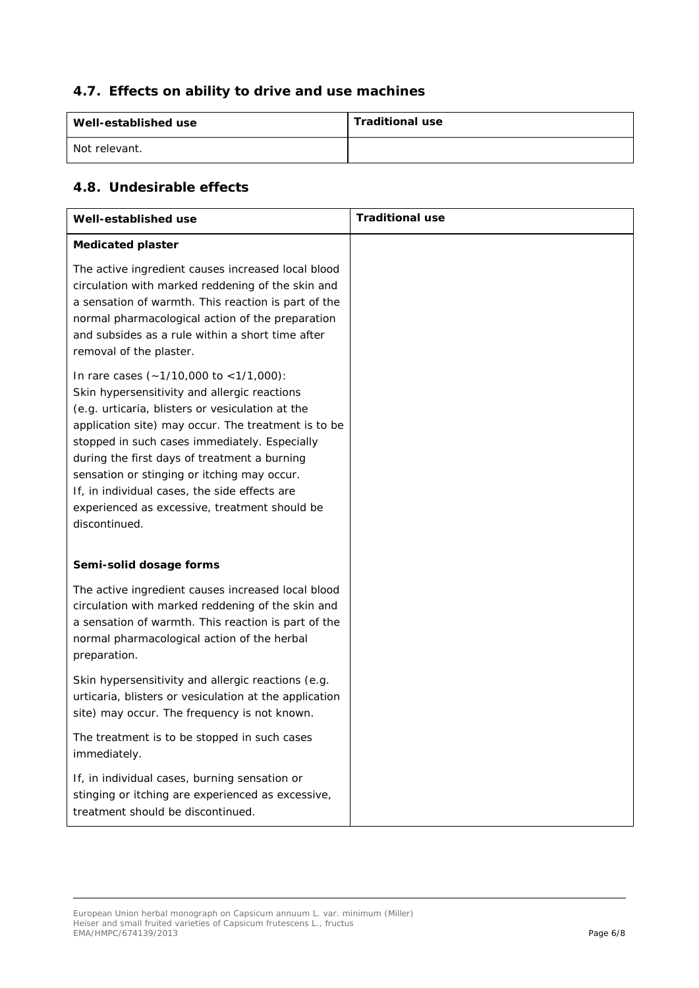### *4.7. Effects on ability to drive and use machines*

| Well-established use | <b>Traditional use</b> |
|----------------------|------------------------|
| Not relevant.        |                        |

### *4.8. Undesirable effects*

| Well-established use                                                                                                                                                                                                                                                                                                                                                                                                                                                 | <b>Traditional use</b> |
|----------------------------------------------------------------------------------------------------------------------------------------------------------------------------------------------------------------------------------------------------------------------------------------------------------------------------------------------------------------------------------------------------------------------------------------------------------------------|------------------------|
| <b>Medicated plaster</b>                                                                                                                                                                                                                                                                                                                                                                                                                                             |                        |
| The active ingredient causes increased local blood<br>circulation with marked reddening of the skin and<br>a sensation of warmth. This reaction is part of the<br>normal pharmacological action of the preparation<br>and subsides as a rule within a short time after<br>removal of the plaster.                                                                                                                                                                    |                        |
| In rare cases (~1/10,000 to <1/1,000):<br>Skin hypersensitivity and allergic reactions<br>(e.g. urticaria, blisters or vesiculation at the<br>application site) may occur. The treatment is to be<br>stopped in such cases immediately. Especially<br>during the first days of treatment a burning<br>sensation or stinging or itching may occur.<br>If, in individual cases, the side effects are<br>experienced as excessive, treatment should be<br>discontinued. |                        |
| Semi-solid dosage forms                                                                                                                                                                                                                                                                                                                                                                                                                                              |                        |
| The active ingredient causes increased local blood<br>circulation with marked reddening of the skin and<br>a sensation of warmth. This reaction is part of the<br>normal pharmacological action of the herbal<br>preparation.                                                                                                                                                                                                                                        |                        |
| Skin hypersensitivity and allergic reactions (e.g.<br>urticaria, blisters or vesiculation at the application<br>site) may occur. The frequency is not known.                                                                                                                                                                                                                                                                                                         |                        |
| The treatment is to be stopped in such cases<br>immediately.                                                                                                                                                                                                                                                                                                                                                                                                         |                        |
| If, in individual cases, burning sensation or<br>stinging or itching are experienced as excessive,<br>treatment should be discontinued.                                                                                                                                                                                                                                                                                                                              |                        |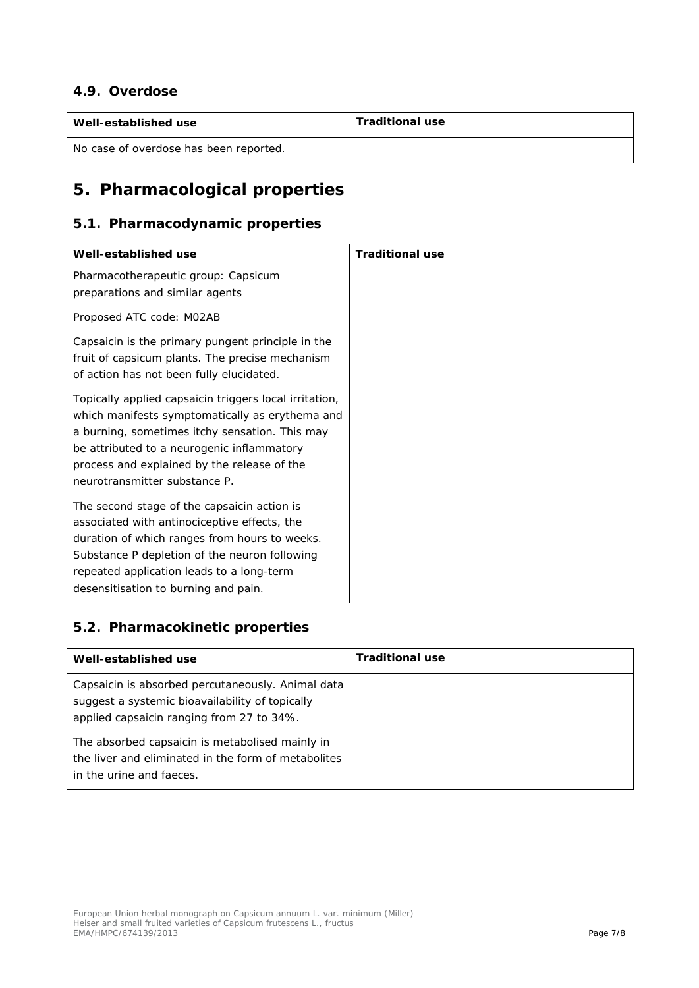#### *4.9. Overdose*

| Well-established use                   | <b>Traditional use</b> |
|----------------------------------------|------------------------|
| No case of overdose has been reported. |                        |

# **5. Pharmacological properties**

#### *5.1. Pharmacodynamic properties*

| Well-established use                                   | <b>Traditional use</b> |
|--------------------------------------------------------|------------------------|
| Pharmacotherapeutic group: Capsicum                    |                        |
| preparations and similar agents                        |                        |
| Proposed ATC code: M02AB                               |                        |
| Capsaicin is the primary pungent principle in the      |                        |
| fruit of capsicum plants. The precise mechanism        |                        |
| of action has not been fully elucidated.               |                        |
| Topically applied capsaicin triggers local irritation, |                        |
| which manifests symptomatically as erythema and        |                        |
| a burning, sometimes itchy sensation. This may         |                        |
| be attributed to a neurogenic inflammatory             |                        |
| process and explained by the release of the            |                        |
| neurotransmitter substance P.                          |                        |
| The second stage of the capsaicin action is            |                        |
| associated with antinociceptive effects, the           |                        |
| duration of which ranges from hours to weeks.          |                        |
| Substance P depletion of the neuron following          |                        |
| repeated application leads to a long-term              |                        |
| desensitisation to burning and pain.                   |                        |

## *5.2. Pharmacokinetic properties*

| Well-established use                                                                                                                              | <b>Traditional use</b> |
|---------------------------------------------------------------------------------------------------------------------------------------------------|------------------------|
| Capsaicin is absorbed percutaneously. Animal data<br>suggest a systemic bioavailability of topically<br>applied capsaicin ranging from 27 to 34%. |                        |
| The absorbed capsaicin is metabolised mainly in<br>the liver and eliminated in the form of metabolites<br>in the urine and faeces.                |                        |